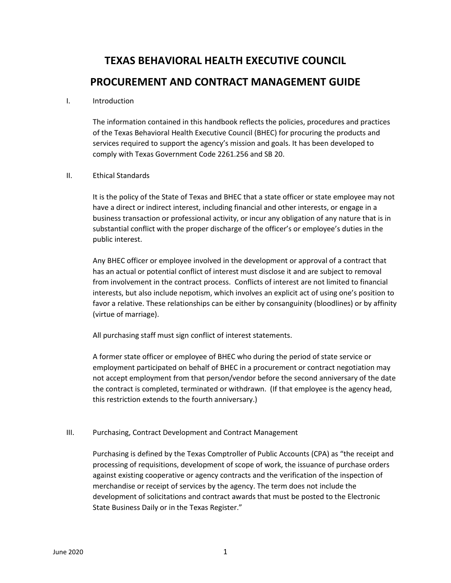# **TEXAS BEHAVIORAL HEALTH EXECUTIVE COUNCIL PROCUREMENT AND CONTRACT MANAGEMENT GUIDE**

#### I. Introduction

The information contained in this handbook reflects the policies, procedures and practices of the Texas Behavioral Health Executive Council (BHEC) for procuring the products and services required to support the agency's mission and goals. It has been developed to comply with Texas Government Code 2261.256 and SB 20.

## II. Ethical Standards

It is the policy of the State of Texas and BHEC that a state officer or state employee may not have a direct or indirect interest, including financial and other interests, or engage in a business transaction or professional activity, or incur any obligation of any nature that is in substantial conflict with the proper discharge of the officer's or employee's duties in the public interest.

Any BHEC officer or employee involved in the development or approval of a contract that has an actual or potential conflict of interest must disclose it and are subject to removal from involvement in the contract process. Conflicts of interest are not limited to financial interests, but also include nepotism, which involves an explicit act of using one's position to favor a relative. These relationships can be either by consanguinity (bloodlines) or by affinity (virtue of marriage).

All purchasing staff must sign conflict of interest statements.

A former state officer or employee of BHEC who during the period of state service or employment participated on behalf of BHEC in a procurement or contract negotiation may not accept employment from that person/vendor before the second anniversary of the date the contract is completed, terminated or withdrawn. (If that employee is the agency head, this restriction extends to the fourth anniversary.)

## III. Purchasing, Contract Development and Contract Management

Purchasing is defined by the Texas Comptroller of Public Accounts (CPA) as "the receipt and processing of requisitions, development of scope of work, the issuance of purchase orders against existing cooperative or agency contracts and the verification of the inspection of merchandise or receipt of services by the agency. The term does not include the development of solicitations and contract awards that must be posted to the Electronic State Business Daily or in the Texas Register."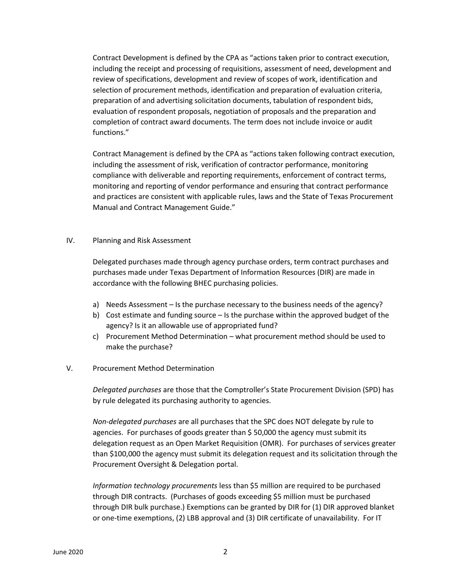Contract Development is defined by the CPA as "actions taken prior to contract execution, including the receipt and processing of requisitions, assessment of need, development and review of specifications, development and review of scopes of work, identification and selection of procurement methods, identification and preparation of evaluation criteria, preparation of and advertising solicitation documents, tabulation of respondent bids, evaluation of respondent proposals, negotiation of proposals and the preparation and completion of contract award documents. The term does not include invoice or audit functions."

Contract Management is defined by the CPA as "actions taken following contract execution, including the assessment of risk, verification of contractor performance, monitoring compliance with deliverable and reporting requirements, enforcement of contract terms, monitoring and reporting of vendor performance and ensuring that contract performance and practices are consistent with applicable rules, laws and the State of Texas Procurement Manual and Contract Management Guide."

#### IV. Planning and Risk Assessment

Delegated purchases made through agency purchase orders, term contract purchases and purchases made under Texas Department of Information Resources (DIR) are made in accordance with the following BHEC purchasing policies.

- a) Needs Assessment Is the purchase necessary to the business needs of the agency?
- b) Cost estimate and funding source Is the purchase within the approved budget of the agency? Is it an allowable use of appropriated fund?
- c) Procurement Method Determination what procurement method should be used to make the purchase?

## V. Procurement Method Determination

*Delegated purchases* are those that the Comptroller's State Procurement Division (SPD) has by rule delegated its purchasing authority to agencies.

*Non-delegated purchases* are all purchases that the SPC does NOT delegate by rule to agencies. For purchases of goods greater than \$50,000 the agency must submit its delegation request as an Open Market Requisition (OMR). For purchases of services greater than \$100,000 the agency must submit its delegation request and its solicitation through the Procurement Oversight & Delegation portal.

*Information technology procurements* less than \$5 million are required to be purchased through DIR contracts. (Purchases of goods exceeding \$5 million must be purchased through DIR bulk purchase.) Exemptions can be granted by DIR for (1) DIR approved blanket or one-time exemptions, (2) LBB approval and (3) DIR certificate of unavailability. For IT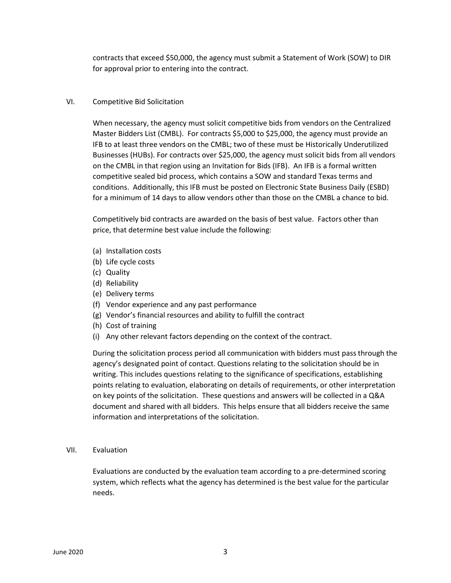contracts that exceed \$50,000, the agency must submit a Statement of Work (SOW) to DIR for approval prior to entering into the contract.

# VI. Competitive Bid Solicitation

When necessary, the agency must solicit competitive bids from vendors on the Centralized Master Bidders List (CMBL). For contracts \$5,000 to \$25,000, the agency must provide an IFB to at least three vendors on the CMBL; two of these must be Historically Underutilized Businesses (HUBs). For contracts over \$25,000, the agency must solicit bids from all vendors on the CMBL in that region using an Invitation for Bids (IFB). An IFB is a formal written competitive sealed bid process, which contains a SOW and standard Texas terms and conditions. Additionally, this IFB must be posted on Electronic State Business Daily (ESBD) for a minimum of 14 days to allow vendors other than those on the CMBL a chance to bid.

Competitively bid contracts are awarded on the basis of best value. Factors other than price, that determine best value include the following:

- (a) Installation costs
- (b) Life cycle costs
- (c) Quality
- (d) Reliability
- (e) Delivery terms
- (f) Vendor experience and any past performance
- (g) Vendor's financial resources and ability to fulfill the contract
- (h) Cost of training
- (i) Any other relevant factors depending on the context of the contract.

During the solicitation process period all communication with bidders must pass through the agency's designated point of contact. Questions relating to the solicitation should be in writing. This includes questions relating to the significance of specifications, establishing points relating to evaluation, elaborating on details of requirements, or other interpretation on key points of the solicitation. These questions and answers will be collected in a Q&A document and shared with all bidders. This helps ensure that all bidders receive the same information and interpretations of the solicitation.

## VII. Evaluation

Evaluations are conducted by the evaluation team according to a pre-determined scoring system, which reflects what the agency has determined is the best value for the particular needs.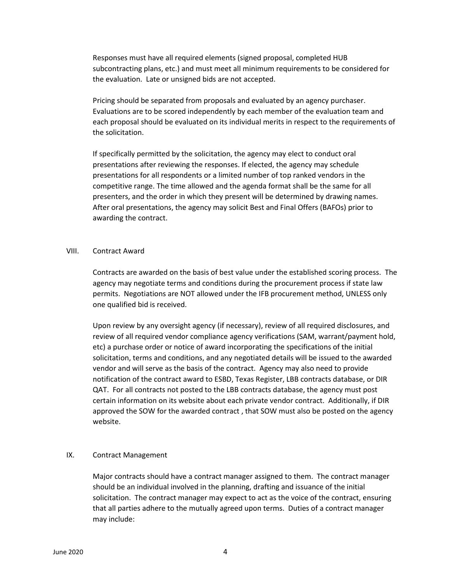Responses must have all required elements (signed proposal, completed HUB subcontracting plans, etc.) and must meet all minimum requirements to be considered for the evaluation. Late or unsigned bids are not accepted.

Pricing should be separated from proposals and evaluated by an agency purchaser. Evaluations are to be scored independently by each member of the evaluation team and each proposal should be evaluated on its individual merits in respect to the requirements of the solicitation.

If specifically permitted by the solicitation, the agency may elect to conduct oral presentations after reviewing the responses. If elected, the agency may schedule presentations for all respondents or a limited number of top ranked vendors in the competitive range. The time allowed and the agenda format shall be the same for all presenters, and the order in which they present will be determined by drawing names. After oral presentations, the agency may solicit Best and Final Offers (BAFOs) prior to awarding the contract.

#### VIII. Contract Award

Contracts are awarded on the basis of best value under the established scoring process. The agency may negotiate terms and conditions during the procurement process if state law permits. Negotiations are NOT allowed under the IFB procurement method, UNLESS only one qualified bid is received.

Upon review by any oversight agency (if necessary), review of all required disclosures, and review of all required vendor compliance agency verifications (SAM, warrant/payment hold, etc) a purchase order or notice of award incorporating the specifications of the initial solicitation, terms and conditions, and any negotiated details will be issued to the awarded vendor and will serve as the basis of the contract. Agency may also need to provide notification of the contract award to ESBD, Texas Register, LBB contracts database, or DIR QAT. For all contracts not posted to the LBB contracts database, the agency must post certain information on its website about each private vendor contract. Additionally, if DIR approved the SOW for the awarded contract , that SOW must also be posted on the agency website.

#### IX. Contract Management

Major contracts should have a contract manager assigned to them. The contract manager should be an individual involved in the planning, drafting and issuance of the initial solicitation. The contract manager may expect to act as the voice of the contract, ensuring that all parties adhere to the mutually agreed upon terms. Duties of a contract manager may include: